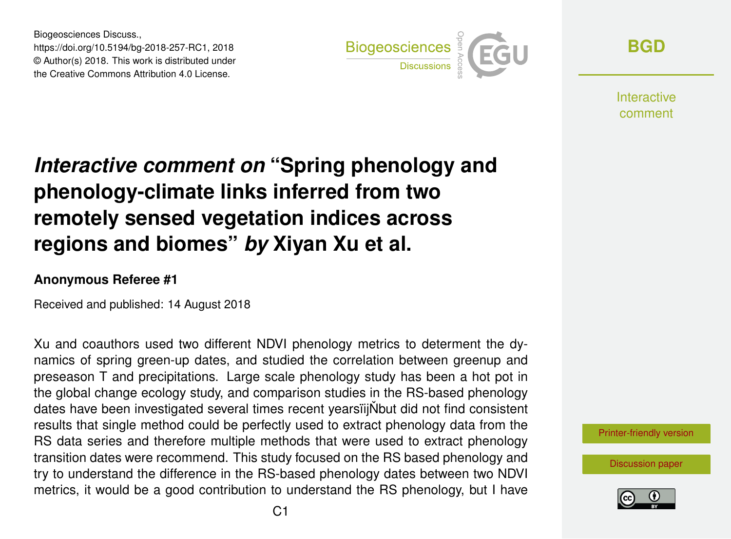Biogeosciences Discuss., https://doi.org/10.5194/bg-2018-257-RC1, 2018 © Author(s) 2018. This work is distributed under the Creative Commons Attribution 4.0 License.



**[BGD](https://www.biogeosciences-discuss.net/)**

**Interactive** comment

## *Interactive comment on* **"Spring phenology and phenology-climate links inferred from two remotely sensed vegetation indices across regions and biomes"** *by* **Xiyan Xu et al.**

## **Anonymous Referee #1**

Received and published: 14 August 2018

Xu and coauthors used two different NDVI phenology metrics to determent the dynamics of spring green-up dates, and studied the correlation between greenup and preseason T and precipitations. Large scale phenology study has been a hot pot in the global change ecology study, and comparison studies in the RS-based phenology dates have been investigated several times recent yearsiijNbut did not find consistent results that single method could be perfectly used to extract phenology data from the RS data series and therefore multiple methods that were used to extract phenology transition dates were recommend. This study focused on the RS based phenology and try to understand the difference in the RS-based phenology dates between two NDVI metrics, it would be a good contribution to understand the RS phenology, but I have

[Printer-friendly version](https://www.biogeosciences-discuss.net/bg-2018-257/bg-2018-257-RC1-print.pdf)

[Discussion paper](https://www.biogeosciences-discuss.net/bg-2018-257)

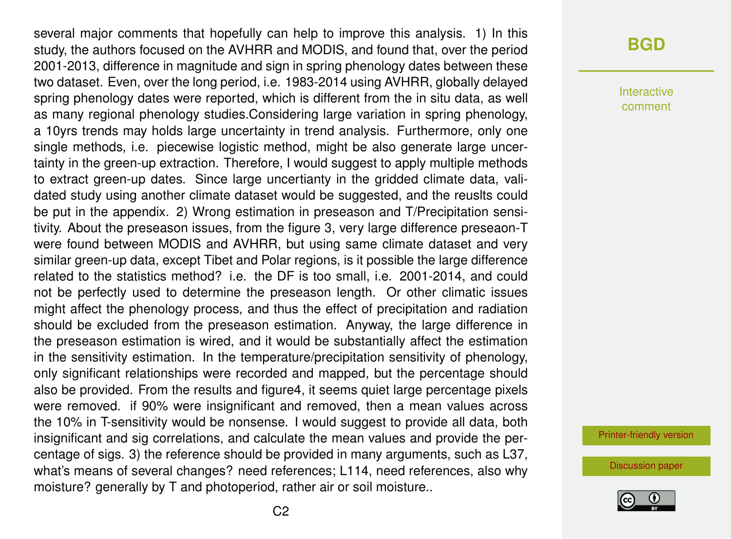several major comments that hopefully can help to improve this analysis. 1) In this study, the authors focused on the AVHRR and MODIS, and found that, over the period 2001-2013, difference in magnitude and sign in spring phenology dates between these two dataset. Even, over the long period, i.e. 1983-2014 using AVHRR, globally delayed spring phenology dates were reported, which is different from the in situ data, as well as many regional phenology studies.Considering large variation in spring phenology, a 10yrs trends may holds large uncertainty in trend analysis. Furthermore, only one single methods, i.e. piecewise logistic method, might be also generate large uncertainty in the green-up extraction. Therefore, I would suggest to apply multiple methods to extract green-up dates. Since large uncertianty in the gridded climate data, validated study using another climate dataset would be suggested, and the reuslts could be put in the appendix. 2) Wrong estimation in preseason and T/Precipitation sensitivity. About the preseason issues, from the figure 3, very large difference preseaon-T were found between MODIS and AVHRR, but using same climate dataset and very similar green-up data, except Tibet and Polar regions, is it possible the large difference related to the statistics method? i.e. the DF is too small, i.e. 2001-2014, and could not be perfectly used to determine the preseason length. Or other climatic issues might affect the phenology process, and thus the effect of precipitation and radiation should be excluded from the preseason estimation. Anyway, the large difference in the preseason estimation is wired, and it would be substantially affect the estimation in the sensitivity estimation. In the temperature/precipitation sensitivity of phenology, only significant relationships were recorded and mapped, but the percentage should also be provided. From the results and figure4, it seems quiet large percentage pixels were removed. if 90% were insignificant and removed, then a mean values across the 10% in T-sensitivity would be nonsense. I would suggest to provide all data, both insignificant and sig correlations, and calculate the mean values and provide the percentage of sigs. 3) the reference should be provided in many arguments, such as L37, what's means of several changes? need references; L114, need references, also why moisture? generally by T and photoperiod, rather air or soil moisture..

## **[BGD](https://www.biogeosciences-discuss.net/)**

Interactive comment

[Printer-friendly version](https://www.biogeosciences-discuss.net/bg-2018-257/bg-2018-257-RC1-print.pdf)

[Discussion paper](https://www.biogeosciences-discuss.net/bg-2018-257)